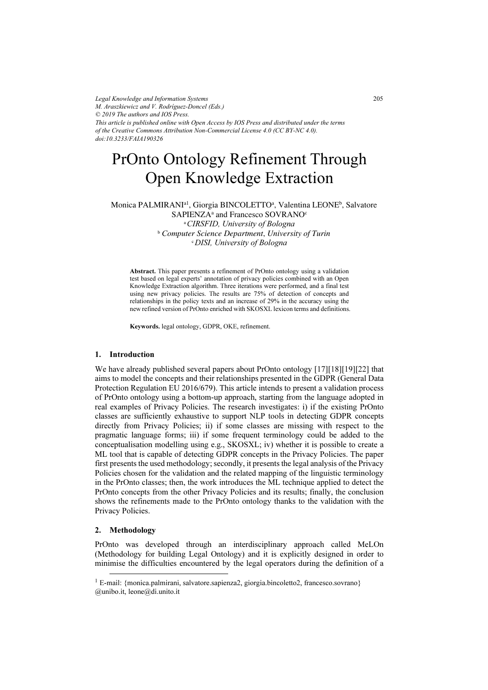*Legal Knowledge and Information Systems M. Araszkiewicz and V. Rodríguez-Doncel (Eds.) © 2019 The authors and IOS Press. This article is published online with Open Access by IOS Press and distributed under the terms of the Creative Commons Attribution Non-Commercial License 4.0 (CC BY-NC 4.0). doi:10.3233/FAIA190326*

# PrOnto Ontology Refinement Through Open Knowledge Extraction

Monica PALMIRANI<sup>a1</sup>, Giorgia BINCOLETTO<sup>a</sup>, Valentina LEONE<sup>b</sup>, Salvatore SAPIENZA<sup>a</sup> and Francesco SOVRANO<sup>c</sup> a CIRSFID, University of Bologna

<sup>b</sup> Computer Science Department, University of Turin <sup>c</sup>DISI, University of Bologna

Abstract. This paper presents a refinement of PrOnto ontology using a validation test based on legal experts' annotation of privacy policies combined with an Open Knowledge Extraction algorithm. Three iterations were performed, and a final test using new privacy policies. The results are 75% of detection of concepts and relationships in the policy texts and an increase of 29% in the accuracy using the new refined version of PrOnto enriched with SKOSXL lexicon terms and definitions.

Keywords. legal ontology, GDPR, OKE, refinement.

#### 1. Introduction

We have already published several papers about PrOnto ontology [17][18][19][22] that aims to model the concepts and their relationships presented in the GDPR (General Data Protection Regulation EU 2016/679). This article intends to present a validation process of PrOnto ontology using a bottom-up approach, starting from the language adopted in real examples of Privacy Policies. The research investigates: i) if the existing PrOnto classes are sufficiently exhaustive to support NLP tools in detecting GDPR concepts directly from Privacy Policies; ii) if some classes are missing with respect to the pragmatic language forms; iii) if some frequent terminology could be added to the conceptualisation modelling using e.g., SKOSXL; iv) whether it is possible to create a ML tool that is capable of detecting GDPR concepts in the Privacy Policies. The paper first presents the used methodology; secondly, it presents the legal analysis of the Privacy Policies chosen for the validation and the related mapping of the linguistic terminology in the PrOnto classes; then, the work introduces the ML technique applied to detect the PrOnto concepts from the other Privacy Policies and its results; finally, the conclusion shows the refinements made to the PrOnto ontology thanks to the validation with the Privacy Policies.

#### 2. Methodology

PrOnto was developed through an interdisciplinary approach called MeLOn (Methodology for building Legal Ontology) and it is explicitly designed in order to minimise the difficulties encountered by the legal operators during the definition of a

<sup>1</sup> E-mail: {monica.palmirani, salvatore.sapienza2, giorgia.bincoletto2, francesco.sovrano} @unibo.it, leone@di.unito.it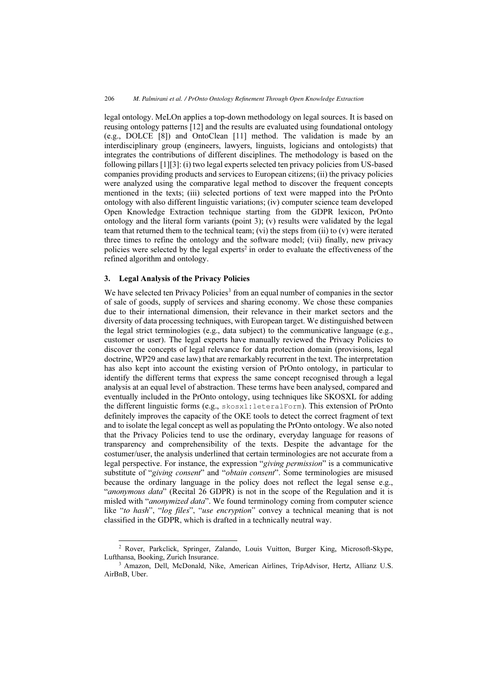legal ontology. MeLOn applies a top-down methodology on legal sources. It is based on reusing ontology patterns [12] and the results are evaluated using foundational ontology (e.g., DOLCE [8]) and OntoClean [11] method. The validation is made by an interdisciplinary group (engineers, lawyers, linguists, logicians and ontologists) that integrates the contributions of different disciplines. The methodology is based on the following pillars [1][3]: (i) two legal experts selected ten privacy policies from US-based companies providing products and services to European citizens; (ii) the privacy policies were analyzed using the comparative legal method to discover the frequent concepts mentioned in the texts; (iii) selected portions of text were mapped into the PrOnto ontology with also different linguistic variations; (iv) computer science team developed Open Knowledge Extraction technique starting from the GDPR lexicon, PrOnto ontology and the literal form variants (point 3); (v) results were validated by the legal team that returned them to the technical team; (vi) the steps from (ii) to (v) were iterated three times to refine the ontology and the software model; (vii) finally, new privacy policies were selected by the legal experts<sup>2</sup> in order to evaluate the effectiveness of the refined algorithm and ontology.

### 3. Legal Analysis of the Privacy Policies

We have selected ten Privacy Policies<sup>3</sup> from an equal number of companies in the sector of sale of goods, supply of services and sharing economy. We chose these companies due to their international dimension, their relevance in their market sectors and the diversity of data processing techniques, with European target. We distinguished between the legal strict terminologies (e.g., data subject) to the communicative language (e.g., customer or user). The legal experts have manually reviewed the Privacy Policies to discover the concepts of legal relevance for data protection domain (provisions, legal doctrine, WP29 and case law) that are remarkably recurrent in the text. The interpretation has also kept into account the existing version of PrOnto ontology, in particular to identify the different terms that express the same concept recognised through a legal analysis at an equal level of abstraction. These terms have been analysed, compared and eventually included in the PrOnto ontology, using techniques like SKOSXL for adding the different linguistic forms (e.g., skosxl:leteralForm). This extension of PrOnto definitely improves the capacity of the OKE tools to detect the correct fragment of text and to isolate the legal concept as well as populating the PrOnto ontology. We also noted that the Privacy Policies tend to use the ordinary, everyday language for reasons of transparency and comprehensibility of the texts. Despite the advantage for the costumer/user, the analysis underlined that certain terminologies are not accurate from a legal perspective. For instance, the expression "giving permission" is a communicative substitute of "giving consent" and "obtain consent". Some terminologies are misused because the ordinary language in the policy does not reflect the legal sense e.g., "anonymous data" (Recital 26 GDPR) is not in the scope of the Regulation and it is misled with "*anonymized data*". We found terminology coming from computer science like "to hash", "log files", "use encryption" convey a technical meaning that is not classified in the GDPR, which is drafted in a technically neutral way.

<sup>-</sup><sup>2</sup> Rover, Parkclick, Springer, Zalando, Louis Vuitton, Burger King, Microsoft-Skype, Lufthansa, Booking, Zurich Insurance.<br><sup>3</sup> Amazon, Dell, McDonald, Nike, American Airlines, TripAdvisor, Hertz, Allianz U.S.

AirBnB, Uber.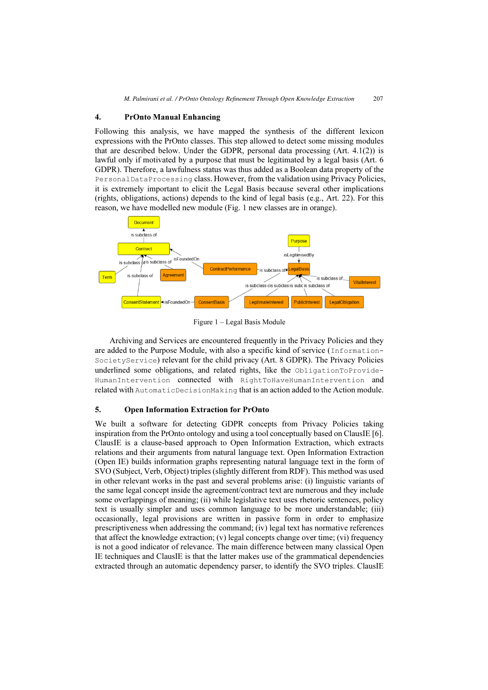### 4. PrOnto Manual Enhancing

Following this analysis, we have mapped the synthesis of the different lexicon expressions with the PrOnto classes. This step allowed to detect some missing modules that are described below. Under the GDPR, personal data processing  $(Art. 4.1(2))$  is lawful only if motivated by a purpose that must be legitimated by a legal basis (Art. 6 GDPR). Therefore, a lawfulness status was thus added as a Boolean data property of the PersonalDataProcessing class. However, from the validation using Privacy Policies, it is extremely important to elicit the Legal Basis because several other implications (rights, obligations, actions) depends to the kind of legal basis (e.g., Art. 22). For this reason, we have modelled new module (Fig. 1 new classes are in orange).



Figure 1 – Legal Basis Module

Archiving and Services are encountered frequently in the Privacy Policies and they are added to the Purpose Module, with also a specific kind of service (Information-SocietyService) relevant for the child privacy (Art. 8 GDPR). The Privacy Policies underlined some obligations, and related rights, like the ObligationToProvide-HumanIntervention connected with RightToHaveHumanIntervention and related with AutomaticDecisionMaking that is an action added to the Action module.

## 5. Open Information Extraction for PrOnto

We built a software for detecting GDPR concepts from Privacy Policies taking inspiration from the PrOnto ontology and using a tool conceptually based on ClausIE [6]. ClausIE is a clause-based approach to Open Information Extraction, which extracts relations and their arguments from natural language text. Open Information Extraction (Open IE) builds information graphs representing natural language text in the form of SVO (Subject, Verb, Object) triples (slightly different from RDF). This method was used in other relevant works in the past and several problems arise: (i) linguistic variants of the same legal concept inside the agreement/contract text are numerous and they include some overlappings of meaning; (ii) while legislative text uses rhetoric sentences, policy text is usually simpler and uses common language to be more understandable; (iii) occasionally, legal provisions are written in passive form in order to emphasize prescriptiveness when addressing the command; (iv) legal text has normative references that affect the knowledge extraction; (v) legal concepts change over time; (vi) frequency is not a good indicator of relevance. The main difference between many classical Open IE techniques and ClausIE is that the latter makes use of the grammatical dependencies extracted through an automatic dependency parser, to identify the SVO triples. ClausIE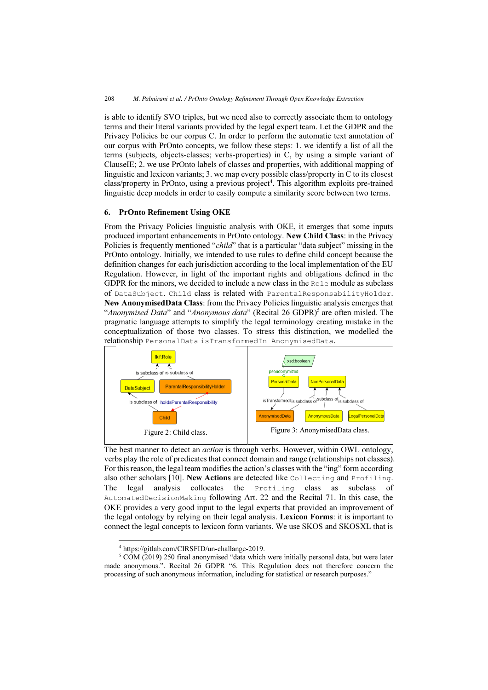is able to identify SVO triples, but we need also to correctly associate them to ontology terms and their literal variants provided by the legal expert team. Let the GDPR and the Privacy Policies be our corpus C. In order to perform the automatic text annotation of our corpus with PrOnto concepts, we follow these steps: 1. we identify a list of all the terms (subjects, objects-classes; verbs-properties) in C, by using a simple variant of ClauseIE; 2. we use PrOnto labels of classes and properties, with additional mapping of linguistic and lexicon variants; 3. we map every possible class/property in C to its closest class/property in PrOnto, using a previous project<sup>4</sup>. This algorithm exploits pre-trained linguistic deep models in order to easily compute a similarity score between two terms.

## 6. PrOnto Refinement Using OKE

From the Privacy Policies linguistic analysis with OKE, it emerges that some inputs produced important enhancements in PrOnto ontology. New Child Class: in the Privacy Policies is frequently mentioned "*child*" that is a particular "data subject" missing in the PrOnto ontology. Initially, we intended to use rules to define child concept because the definition changes for each jurisdiction according to the local implementation of the EU Regulation. However, in light of the important rights and obligations defined in the GDPR for the minors, we decided to include a new class in the Role module as subclass of DataSubject. Child class is related with ParentalResponsabilityHolder. New AnonymisedData Class: from the Privacy Policies linguistic analysis emerges that "Anonymised Data" and "Anonymous data" (Recital 26 GDPR)<sup>5</sup> are often misled. The pragmatic language attempts to simplify the legal terminology creating mistake in the conceptualization of those two classes. To stress this distinction, we modelled the relationship PersonalData isTransformedIn AnonymisedData.



The best manner to detect an action is through verbs. However, within OWL ontology, verbs play the role of predicates that connect domain and range (relationships not classes). For this reason, the legal team modifies the action's classes with the "ing" form according also other scholars [10]. New Actions are detected like Collecting and Profiling. The legal analysis collocates the Profiling class as subclass of AutomatedDecisionMaking following Art. 22 and the Recital 71. In this case, the OKE provides a very good input to the legal experts that provided an improvement of the legal ontology by relying on their legal analysis. Lexicon Forms: it is important to connect the legal concepts to lexicon form variants. We use SKOS and SKOSXL that is

<sup>-</sup><sup>4</sup> https://gitlab.com/CIRSFID/un-challange-2019.

 $5$  COM (2019) 250 final anonymised "data which were initially personal data, but were later made anonymous.". Recital 26 GDPR "6. This Regulation does not therefore concern the processing of such anonymous information, including for statistical or research purposes."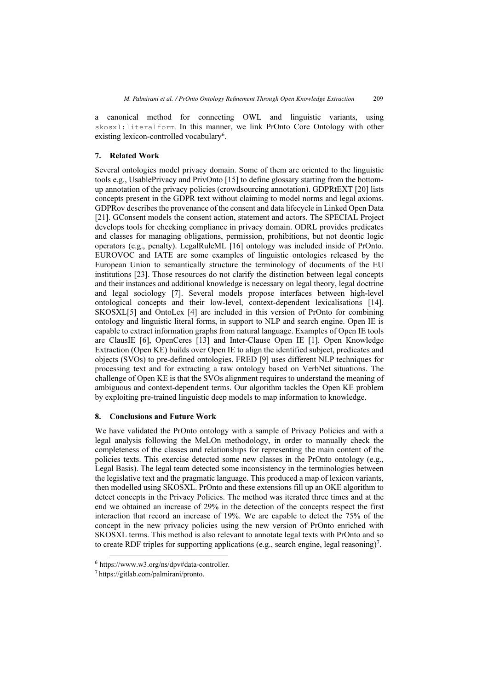a canonical method for connecting OWL and linguistic variants, using skosxl:literalform. In this manner, we link PrOnto Core Ontology with other existing lexicon-controlled vocabulary<sup>6</sup>.

# 7. Related Work

Several ontologies model privacy domain. Some of them are oriented to the linguistic tools e.g., UsablePrivacy and PrivOnto [15] to define glossary starting from the bottomup annotation of the privacy policies (crowdsourcing annotation). GDPRtEXT [20] lists concepts present in the GDPR text without claiming to model norms and legal axioms. GDPRov describes the provenance of the consent and data lifecycle in Linked Open Data [21]. GConsent models the consent action, statement and actors. The SPECIAL Project develops tools for checking compliance in privacy domain. ODRL provides predicates and classes for managing obligations, permission, prohibitions, but not deontic logic operators (e.g., penalty). LegalRuleML [16] ontology was included inside of PrOnto. EUROVOC and IATE are some examples of linguistic ontologies released by the European Union to semantically structure the terminology of documents of the EU institutions [23]. Those resources do not clarify the distinction between legal concepts and their instances and additional knowledge is necessary on legal theory, legal doctrine and legal sociology [7]. Several models propose interfaces between high-level ontological concepts and their low-level, context-dependent lexicalisations [14]. SKOSXL[5] and OntoLex [4] are included in this version of PrOnto for combining ontology and linguistic literal forms, in support to NLP and search engine. Open IE is capable to extract information graphs from natural language. Examples of Open IE tools are ClausIE [6], OpenCeres [13] and Inter-Clause Open IE [1]. Open Knowledge Extraction (Open KE) builds over Open IE to align the identified subject, predicates and objects (SVOs) to pre-defined ontologies. FRED [9] uses different NLP techniques for processing text and for extracting a raw ontology based on VerbNet situations. The challenge of Open KE is that the SVOs alignment requires to understand the meaning of ambiguous and context-dependent terms. Our algorithm tackles the Open KE problem by exploiting pre-trained linguistic deep models to map information to knowledge.

## 8. Conclusions and Future Work

We have validated the PrOnto ontology with a sample of Privacy Policies and with a legal analysis following the MeLOn methodology, in order to manually check the completeness of the classes and relationships for representing the main content of the policies texts. This exercise detected some new classes in the PrOnto ontology (e.g., Legal Basis). The legal team detected some inconsistency in the terminologies between the legislative text and the pragmatic language. This produced a map of lexicon variants, then modelled using SKOSXL. PrOnto and these extensions fill up an OKE algorithm to detect concepts in the Privacy Policies. The method was iterated three times and at the end we obtained an increase of 29% in the detection of the concepts respect the first interaction that record an increase of 19%. We are capable to detect the 75% of the concept in the new privacy policies using the new version of PrOnto enriched with SKOSXL terms. This method is also relevant to annotate legal texts with PrOnto and so to create RDF triples for supporting applications (e.g., search engine, legal reasoning)<sup>7</sup>.

 $6$  https://www.w3.org/ns/dpv#data-controller.

<sup>7</sup>https://gitlab.com/palmirani/pronto.